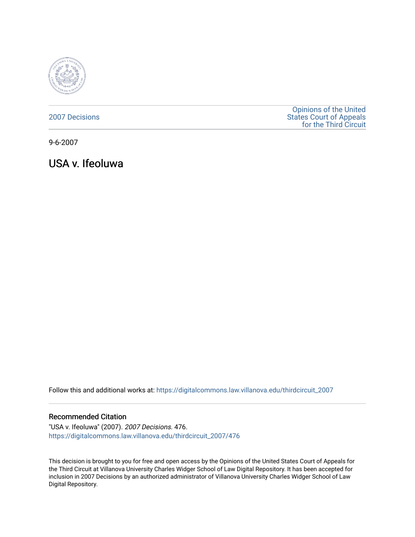

[2007 Decisions](https://digitalcommons.law.villanova.edu/thirdcircuit_2007)

[Opinions of the United](https://digitalcommons.law.villanova.edu/thirdcircuit)  [States Court of Appeals](https://digitalcommons.law.villanova.edu/thirdcircuit)  [for the Third Circuit](https://digitalcommons.law.villanova.edu/thirdcircuit) 

9-6-2007

USA v. Ifeoluwa

Follow this and additional works at: [https://digitalcommons.law.villanova.edu/thirdcircuit\\_2007](https://digitalcommons.law.villanova.edu/thirdcircuit_2007?utm_source=digitalcommons.law.villanova.edu%2Fthirdcircuit_2007%2F476&utm_medium=PDF&utm_campaign=PDFCoverPages) 

## Recommended Citation

"USA v. Ifeoluwa" (2007). 2007 Decisions. 476. [https://digitalcommons.law.villanova.edu/thirdcircuit\\_2007/476](https://digitalcommons.law.villanova.edu/thirdcircuit_2007/476?utm_source=digitalcommons.law.villanova.edu%2Fthirdcircuit_2007%2F476&utm_medium=PDF&utm_campaign=PDFCoverPages)

This decision is brought to you for free and open access by the Opinions of the United States Court of Appeals for the Third Circuit at Villanova University Charles Widger School of Law Digital Repository. It has been accepted for inclusion in 2007 Decisions by an authorized administrator of Villanova University Charles Widger School of Law Digital Repository.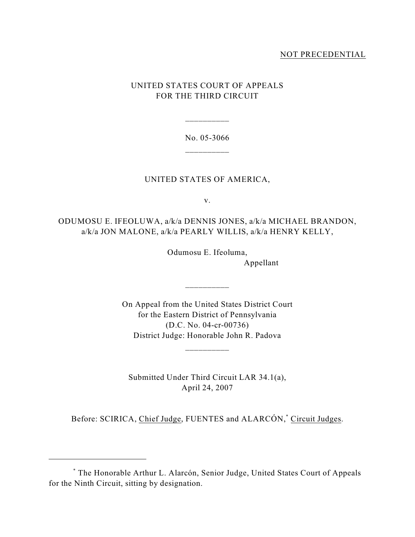## NOT PRECEDENTIAL

# UNITED STATES COURT OF APPEALS FOR THE THIRD CIRCUIT

No. 05-3066 \_\_\_\_\_\_\_\_\_\_

\_\_\_\_\_\_\_\_\_\_

## UNITED STATES OF AMERICA,

v.

ODUMOSU E. IFEOLUWA, a/k/a DENNIS JONES, a/k/a MICHAEL BRANDON, a/k/a JON MALONE, a/k/a PEARLY WILLIS, a/k/a HENRY KELLY,

> Odumosu E. Ifeoluma, Appellant

On Appeal from the United States District Court for the Eastern District of Pennsylvania (D.C. No. 04-cr-00736) District Judge: Honorable John R. Padova

\_\_\_\_\_\_\_\_\_\_

\_\_\_\_\_\_\_\_\_\_

Submitted Under Third Circuit LAR 34.1(a), April 24, 2007

Before: SCIRICA, Chief Judge, FUENTES and ALARCÓN,<sup>\*</sup> Circuit Judges.

The Honorable Arthur L. Alarcón, Senior Judge, United States Court of Appeals \* for the Ninth Circuit, sitting by designation.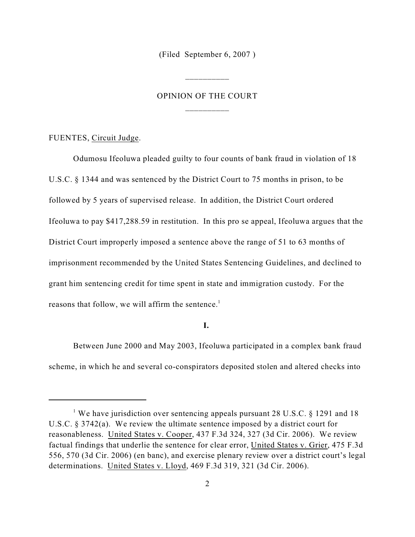(Filed September 6, 2007 )

\_\_\_\_\_\_\_\_\_\_

# OPINION OF THE COURT \_\_\_\_\_\_\_\_\_\_

FUENTES, Circuit Judge.

Odumosu Ifeoluwa pleaded guilty to four counts of bank fraud in violation of 18 U.S.C. § 1344 and was sentenced by the District Court to 75 months in prison, to be followed by 5 years of supervised release. In addition, the District Court ordered Ifeoluwa to pay \$417,288.59 in restitution. In this pro se appeal, Ifeoluwa argues that the District Court improperly imposed a sentence above the range of 51 to 63 months of imprisonment recommended by the United States Sentencing Guidelines, and declined to grant him sentencing credit for time spent in state and immigration custody. For the reasons that follow, we will affirm the sentence.<sup>1</sup>

## **I.**

Between June 2000 and May 2003, Ifeoluwa participated in a complex bank fraud scheme, in which he and several co-conspirators deposited stolen and altered checks into

<sup>&</sup>lt;sup>1</sup> We have jurisdiction over sentencing appeals pursuant 28 U.S.C. § 1291 and 18 U.S.C. § 3742(a). We review the ultimate sentence imposed by a district court for reasonableness. United States v. Cooper, 437 F.3d 324, 327 (3d Cir. 2006). We review factual findings that underlie the sentence for clear error, United States v. Grier, 475 F.3d 556, 570 (3d Cir. 2006) (en banc), and exercise plenary review over a district court's legal determinations. United States v. Lloyd, 469 F.3d 319, 321 (3d Cir. 2006).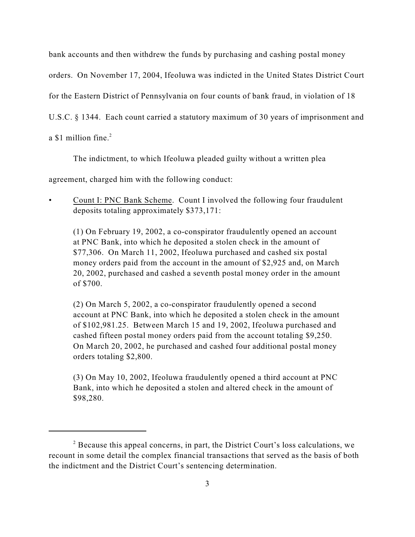bank accounts and then withdrew the funds by purchasing and cashing postal money

orders. On November 17, 2004, Ifeoluwa was indicted in the United States District Court

for the Eastern District of Pennsylvania on four counts of bank fraud, in violation of 18

U.S.C. § 1344. Each count carried a statutory maximum of 30 years of imprisonment and

a \$1 million fine.<sup>2</sup>

The indictment, to which Ifeoluwa pleaded guilty without a written plea

agreement, charged him with the following conduct:

• Count I: PNC Bank Scheme. Count I involved the following four fraudulent deposits totaling approximately \$373,171:

(1) On February 19, 2002, a co-conspirator fraudulently opened an account at PNC Bank, into which he deposited a stolen check in the amount of \$77,306. On March 11, 2002, Ifeoluwa purchased and cashed six postal money orders paid from the account in the amount of \$2,925 and, on March 20, 2002, purchased and cashed a seventh postal money order in the amount of \$700.

(2) On March 5, 2002, a co-conspirator fraudulently opened a second account at PNC Bank, into which he deposited a stolen check in the amount of \$102,981.25. Between March 15 and 19, 2002, Ifeoluwa purchased and cashed fifteen postal money orders paid from the account totaling \$9,250. On March 20, 2002, he purchased and cashed four additional postal money orders totaling \$2,800.

(3) On May 10, 2002, Ifeoluwa fraudulently opened a third account at PNC Bank, into which he deposited a stolen and altered check in the amount of \$98,280.

 $\alpha$ <sup>2</sup> Because this appeal concerns, in part, the District Court's loss calculations, we recount in some detail the complex financial transactions that served as the basis of both the indictment and the District Court's sentencing determination.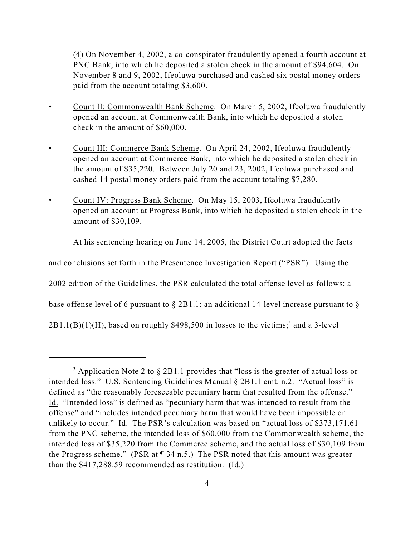(4) On November 4, 2002, a co-conspirator fraudulently opened a fourth account at PNC Bank, into which he deposited a stolen check in the amount of \$94,604. On November 8 and 9, 2002, Ifeoluwa purchased and cashed six postal money orders paid from the account totaling \$3,600.

- Count II: Commonwealth Bank Scheme. On March 5, 2002, Ifeoluwa fraudulently opened an account at Commonwealth Bank, into which he deposited a stolen check in the amount of \$60,000.
- Count III: Commerce Bank Scheme. On April 24, 2002, Ifeoluwa fraudulently opened an account at Commerce Bank, into which he deposited a stolen check in the amount of \$35,220. Between July 20 and 23, 2002, Ifeoluwa purchased and cashed 14 postal money orders paid from the account totaling \$7,280.
- Count IV: Progress Bank Scheme. On May 15, 2003, Ifeoluwa fraudulently opened an account at Progress Bank, into which he deposited a stolen check in the amount of \$30,109.

At his sentencing hearing on June 14, 2005, the District Court adopted the facts

and conclusions set forth in the Presentence Investigation Report ("PSR"). Using the

2002 edition of the Guidelines, the PSR calculated the total offense level as follows: a

base offense level of 6 pursuant to § 2B1.1; an additional 14-level increase pursuant to §

 $2B1.1(B)(1)(H)$ , based on roughly \$498,500 in losses to the victims;<sup>3</sup> and a 3-level

<sup>&</sup>lt;sup>3</sup> Application Note 2 to  $\S$  2B1.1 provides that "loss is the greater of actual loss or intended loss." U.S. Sentencing Guidelines Manual § 2B1.1 cmt. n.2. "Actual loss" is defined as "the reasonably foreseeable pecuniary harm that resulted from the offense." Id. "Intended loss" is defined as "pecuniary harm that was intended to result from the offense" and "includes intended pecuniary harm that would have been impossible or unlikely to occur." Id. The PSR's calculation was based on "actual loss of \$373,171.61 from the PNC scheme, the intended loss of \$60,000 from the Commonwealth scheme, the intended loss of \$35,220 from the Commerce scheme, and the actual loss of \$30,109 from the Progress scheme." (PSR at ¶ 34 n.5.) The PSR noted that this amount was greater than the \$417,288.59 recommended as restitution. (Id.)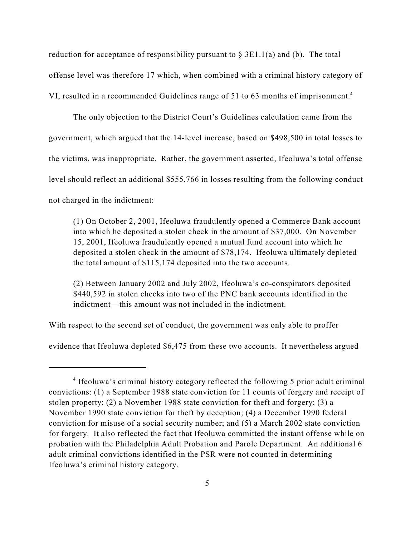reduction for acceptance of responsibility pursuant to  $\S 3E1.1(a)$  and (b). The total offense level was therefore 17 which, when combined with a criminal history category of VI, resulted in a recommended Guidelines range of 51 to 63 months of imprisonment.<sup>4</sup>

The only objection to the District Court's Guidelines calculation came from the government, which argued that the 14-level increase, based on \$498,500 in total losses to the victims, was inappropriate. Rather, the government asserted, Ifeoluwa's total offense level should reflect an additional \$555,766 in losses resulting from the following conduct not charged in the indictment:

(1) On October 2, 2001, Ifeoluwa fraudulently opened a Commerce Bank account into which he deposited a stolen check in the amount of \$37,000. On November 15, 2001, Ifeoluwa fraudulently opened a mutual fund account into which he deposited a stolen check in the amount of \$78,174. Ifeoluwa ultimately depleted the total amount of \$115,174 deposited into the two accounts.

(2) Between January 2002 and July 2002, Ifeoluwa's co-conspirators deposited \$440,592 in stolen checks into two of the PNC bank accounts identified in the indictment—this amount was not included in the indictment.

With respect to the second set of conduct, the government was only able to proffer

evidence that Ifeoluwa depleted \$6,475 from these two accounts. It nevertheless argued

<sup>&</sup>lt;sup>4</sup> Ifeoluwa's criminal history category reflected the following 5 prior adult criminal convictions: (1) a September 1988 state conviction for 11 counts of forgery and receipt of stolen property; (2) a November 1988 state conviction for theft and forgery; (3) a November 1990 state conviction for theft by deception; (4) a December 1990 federal conviction for misuse of a social security number; and (5) a March 2002 state conviction for forgery. It also reflected the fact that Ifeoluwa committed the instant offense while on probation with the Philadelphia Adult Probation and Parole Department. An additional 6 adult criminal convictions identified in the PSR were not counted in determining Ifeoluwa's criminal history category.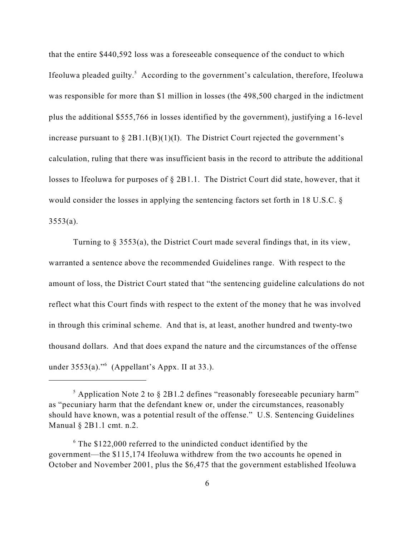that the entire \$440,592 loss was a foreseeable consequence of the conduct to which Ifeoluwa pleaded guilty.<sup>5</sup> According to the government's calculation, therefore, Ifeoluwa was responsible for more than \$1 million in losses (the 498,500 charged in the indictment plus the additional \$555,766 in losses identified by the government), justifying a 16-level increase pursuant to  $\S 2B1.1(B)(1)(I)$ . The District Court rejected the government's calculation, ruling that there was insufficient basis in the record to attribute the additional losses to Ifeoluwa for purposes of § 2B1.1. The District Court did state, however, that it would consider the losses in applying the sentencing factors set forth in 18 U.S.C. §  $3553(a)$ .

Turning to § 3553(a), the District Court made several findings that, in its view, warranted a sentence above the recommended Guidelines range. With respect to the amount of loss, the District Court stated that "the sentencing guideline calculations do not reflect what this Court finds with respect to the extent of the money that he was involved in through this criminal scheme. And that is, at least, another hundred and twenty-two thousand dollars. And that does expand the nature and the circumstances of the offense under  $3553(a)$ ."<sup>6</sup> (Appellant's Appx. II at 33.).

 $\frac{1}{2}$  Application Note 2 to § 2B1.2 defines "reasonably foreseeable pecuniary harm" as "pecuniary harm that the defendant knew or, under the circumstances, reasonably should have known, was a potential result of the offense." U.S. Sentencing Guidelines Manual § 2B1.1 cmt. n.2.

 $6$  The \$122,000 referred to the unindicted conduct identified by the government—the \$115,174 Ifeoluwa withdrew from the two accounts he opened in October and November 2001, plus the \$6,475 that the government established Ifeoluwa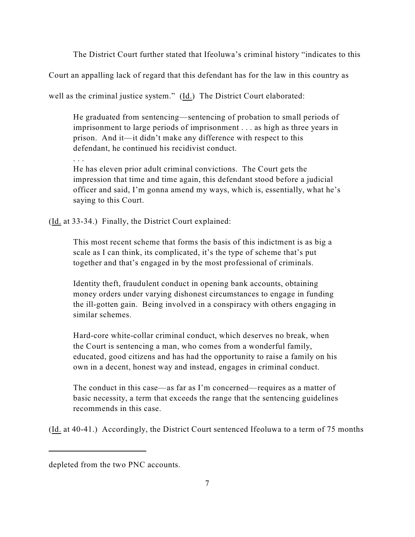The District Court further stated that Ifeoluwa's criminal history "indicates to this

Court an appalling lack of regard that this defendant has for the law in this country as

well as the criminal justice system." (Id.) The District Court elaborated:

He graduated from sentencing—sentencing of probation to small periods of imprisonment to large periods of imprisonment . . . as high as three years in prison. And it—it didn't make any difference with respect to this defendant, he continued his recidivist conduct.

. . .

He has eleven prior adult criminal convictions. The Court gets the impression that time and time again, this defendant stood before a judicial officer and said, I'm gonna amend my ways, which is, essentially, what he's saying to this Court.

(Id. at 33-34.) Finally, the District Court explained:

This most recent scheme that forms the basis of this indictment is as big a scale as I can think, its complicated, it's the type of scheme that's put together and that's engaged in by the most professional of criminals.

Identity theft, fraudulent conduct in opening bank accounts, obtaining money orders under varying dishonest circumstances to engage in funding the ill-gotten gain. Being involved in a conspiracy with others engaging in similar schemes.

Hard-core white-collar criminal conduct, which deserves no break, when the Court is sentencing a man, who comes from a wonderful family, educated, good citizens and has had the opportunity to raise a family on his own in a decent, honest way and instead, engages in criminal conduct.

The conduct in this case—as far as I'm concerned—requires as a matter of basic necessity, a term that exceeds the range that the sentencing guidelines recommends in this case.

(Id. at 40-41.) Accordingly, the District Court sentenced Ifeoluwa to a term of 75 months

depleted from the two PNC accounts.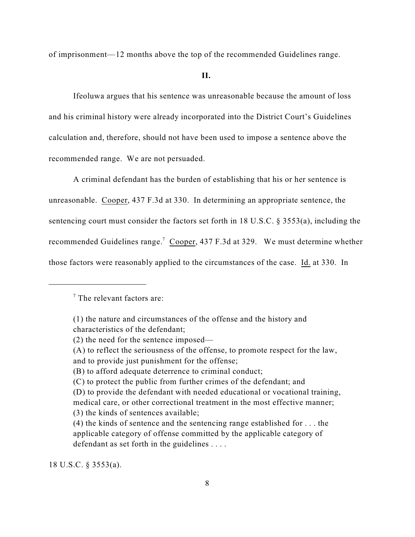of imprisonment—12 months above the top of the recommended Guidelines range.

#### **II.**

Ifeoluwa argues that his sentence was unreasonable because the amount of loss and his criminal history were already incorporated into the District Court's Guidelines calculation and, therefore, should not have been used to impose a sentence above the recommended range. We are not persuaded.

A criminal defendant has the burden of establishing that his or her sentence is unreasonable. Cooper, 437 F.3d at 330. In determining an appropriate sentence, the sentencing court must consider the factors set forth in 18 U.S.C. § 3553(a), including the recommended Guidelines range.<sup>7</sup> Cooper, 437 F.3d at 329. We must determine whether those factors were reasonably applied to the circumstances of the case. Id. at 330. In

18 U.S.C. § 3553(a).

 $\frac{7}{7}$  The relevant factors are:

<sup>(1)</sup> the nature and circumstances of the offense and the history and characteristics of the defendant;

<sup>(2)</sup> the need for the sentence imposed—

<sup>(</sup>A) to reflect the seriousness of the offense, to promote respect for the law, and to provide just punishment for the offense;

<sup>(</sup>B) to afford adequate deterrence to criminal conduct;

<sup>(</sup>C) to protect the public from further crimes of the defendant; and

<sup>(</sup>D) to provide the defendant with needed educational or vocational training, medical care, or other correctional treatment in the most effective manner; (3) the kinds of sentences available;

<sup>(4)</sup> the kinds of sentence and the sentencing range established for . . . the applicable category of offense committed by the applicable category of defendant as set forth in the guidelines . . . .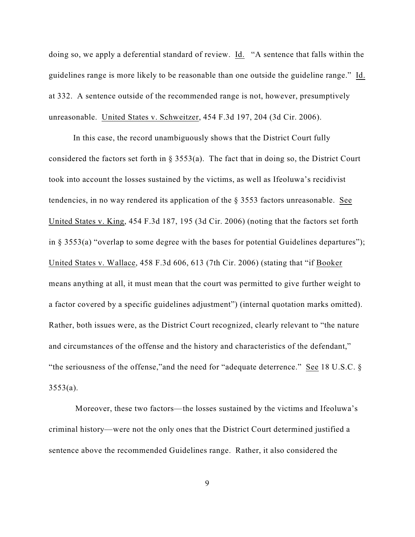doing so, we apply a deferential standard of review. Id. "A sentence that falls within the guidelines range is more likely to be reasonable than one outside the guideline range." Id. at 332. A sentence outside of the recommended range is not, however, presumptively unreasonable. United States v. Schweitzer, 454 F.3d 197, 204 (3d Cir. 2006).

In this case, the record unambiguously shows that the District Court fully considered the factors set forth in  $\S$  3553(a). The fact that in doing so, the District Court took into account the losses sustained by the victims, as well as Ifeoluwa's recidivist tendencies, in no way rendered its application of the § 3553 factors unreasonable. See United States v. King, 454 F.3d 187, 195 (3d Cir. 2006) (noting that the factors set forth in  $\S$  3553(a) "overlap to some degree with the bases for potential Guidelines departures"); United States v. Wallace, 458 F.3d 606, 613 (7th Cir. 2006) (stating that "if Booker means anything at all, it must mean that the court was permitted to give further weight to a factor covered by a specific guidelines adjustment") (internal quotation marks omitted). Rather, both issues were, as the District Court recognized, clearly relevant to "the nature and circumstances of the offense and the history and characteristics of the defendant," "the seriousness of the offense,"and the need for "adequate deterrence." See 18 U.S.C. §  $3553(a)$ .

 Moreover, these two factors—the losses sustained by the victims and Ifeoluwa's criminal history—were not the only ones that the District Court determined justified a sentence above the recommended Guidelines range. Rather, it also considered the

9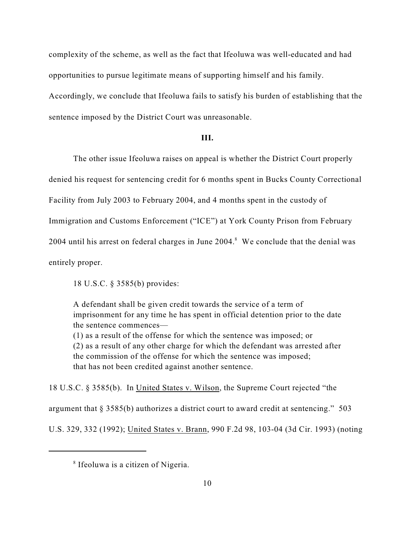complexity of the scheme, as well as the fact that Ifeoluwa was well-educated and had opportunities to pursue legitimate means of supporting himself and his family.

Accordingly, we conclude that Ifeoluwa fails to satisfy his burden of establishing that the sentence imposed by the District Court was unreasonable.

#### **III.**

The other issue Ifeoluwa raises on appeal is whether the District Court properly

denied his request for sentencing credit for 6 months spent in Bucks County Correctional

Facility from July 2003 to February 2004, and 4 months spent in the custody of

Immigration and Customs Enforcement ("ICE") at York County Prison from February

 $2004$  until his arrest on federal charges in June  $2004$ .<sup>8</sup> We conclude that the denial was

entirely proper.

18 U.S.C. § 3585(b) provides:

A defendant shall be given credit towards the service of a term of imprisonment for any time he has spent in official detention prior to the date the sentence commences— (1) as a result of the offense for which the sentence was imposed; or (2) as a result of any other charge for which the defendant was arrested after the commission of the offense for which the sentence was imposed;

that has not been credited against another sentence.

18 U.S.C. § 3585(b). In United States v. Wilson, the Supreme Court rejected "the argument that § 3585(b) authorizes a district court to award credit at sentencing." 503 U.S. 329, 332 (1992); United States v. Brann, 990 F.2d 98, 103-04 (3d Cir. 1993) (noting

 $8$  Ifeoluwa is a citizen of Nigeria.